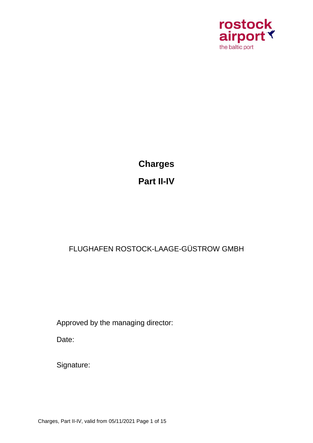

**Charges Part II-IV**

# FLUGHAFEN ROSTOCK-LAAGE-GÜSTROW GMBH

Approved by the managing director:

Date:

Signature:

Charges, Part II-IV, valid from 05/11/2021 Page 1 of 15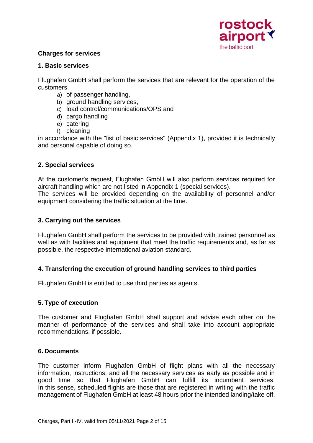

#### **Charges for services**

#### **1. Basic services**

Flughafen GmbH shall perform the services that are relevant for the operation of the customers

- a) of passenger handling,
- b) ground handling services,
- c) load control/communications/OPS and
- d) cargo handling
- e) catering
- f) cleaning

in accordance with the "list of basic services" (Appendix 1), provided it is technically and personal capable of doing so.

#### **2. Special services**

At the customer's request, Flughafen GmbH will also perform services required for aircraft handling which are not listed in Appendix 1 (special services). The services will be provided depending on the availability of personnel and/or equipment considering the traffic situation at the time.

#### **3. Carrying out the services**

Flughafen GmbH shall perform the services to be provided with trained personnel as well as with facilities and equipment that meet the traffic requirements and, as far as possible, the respective international aviation standard.

# **4. Transferring the execution of ground handling services to third parties**

Flughafen GmbH is entitled to use third parties as agents.

#### **5. Type of execution**

The customer and Flughafen GmbH shall support and advise each other on the manner of performance of the services and shall take into account appropriate recommendations, if possible.

#### **6. Documents**

The customer inform Flughafen GmbH of flight plans with all the necessary information, instructions, and all the necessary services as early as possible and in good time so that Flughafen GmbH can fulfill its incumbent services. In this sense, scheduled flights are those that are registered in writing with the traffic management of Flughafen GmbH at least 48 hours prior the intended landing/take off,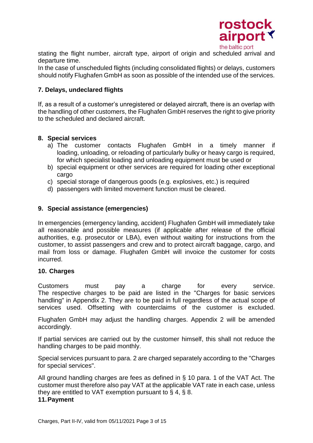

stating the flight number, aircraft type, airport of origin and scheduled arrival and departure time.

In the case of unscheduled flights (including consolidated flights) or delays, customers should notify Flughafen GmbH as soon as possible of the intended use of the services.

#### **7. Delays, undeclared flights**

If, as a result of a customer's unregistered or delayed aircraft, there is an overlap with the handling of other customers, the Flughafen GmbH reserves the right to give priority to the scheduled and declared aircraft.

#### **8. Special services**

- a) The customer contacts Flughafen GmbH in a timely manner if loading, unloading, or reloading of particularly bulky or heavy cargo is required, for which specialist loading and unloading equipment must be used or
- b) special equipment or other services are required for loading other exceptional cargo
- c) special storage of dangerous goods (e.g. explosives, etc.) is required
- d) passengers with limited movement function must be cleared.

#### **9. Special assistance (emergencies)**

In emergencies (emergency landing, accident) Flughafen GmbH will immediately take all reasonable and possible measures (if applicable after release of the official authorities, e.g. prosecutor or LBA), even without waiting for instructions from the customer, to assist passengers and crew and to protect aircraft baggage, cargo, and mail from loss or damage. Flughafen GmbH will invoice the customer for costs incurred.

#### **10. Charges**

Customers must pay a charge for every service. The respective charges to be paid are listed in the "Charges for basic services handling" in Appendix 2. They are to be paid in full regardless of the actual scope of services used. Offsetting with counterclaims of the customer is excluded.

Flughafen GmbH may adjust the handling charges. Appendix 2 will be amended accordingly.

If partial services are carried out by the customer himself, this shall not reduce the handling charges to be paid monthly.

Special services pursuant to para. 2 are charged separately according to the "Charges for special services".

All ground handling charges are fees as defined in § 10 para. 1 of the VAT Act. The customer must therefore also pay VAT at the applicable VAT rate in each case, unless they are entitled to VAT exemption pursuant to § 4, § 8.

#### **11.Payment**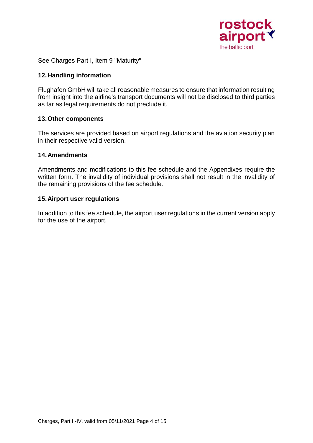

See Charges Part I, Item 9 "Maturity"

#### **12.Handling information**

Flughafen GmbH will take all reasonable measures to ensure that information resulting from insight into the airline's transport documents will not be disclosed to third parties as far as legal requirements do not preclude it.

#### **13.Other components**

The services are provided based on airport regulations and the aviation security plan in their respective valid version.

#### **14.Amendments**

Amendments and modifications to this fee schedule and the Appendixes require the written form. The invalidity of individual provisions shall not result in the invalidity of the remaining provisions of the fee schedule.

#### **15.Airport user regulations**

In addition to this fee schedule, the airport user regulations in the current version apply for the use of the airport.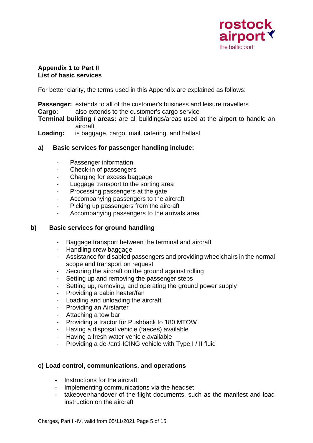

#### **Appendix 1 to Part II List of basic services**

For better clarity, the terms used in this Appendix are explained as follows:

**Passenger:** extends to all of the customer's business and leisure travellers **Cargo:** also extends to the customer's cargo service

**Terminal building / areas:** are all buildings/areas used at the airport to handle an aircraft

**Loading:** is baggage, cargo, mail, catering, and ballast

#### **a) Basic services for passenger handling include:**

- Passenger information
- Check-in of passengers
- Charging for excess baggage
- Luggage transport to the sorting area
- Processing passengers at the gate
- Accompanying passengers to the aircraft
- Picking up passengers from the aircraft
- Accompanying passengers to the arrivals area

#### **b) Basic services for ground handling**

- Baggage transport between the terminal and aircraft
- Handling crew baggage
- Assistance for disabled passengers and providing wheelchairs in the normal scope and transport on request
- Securing the aircraft on the ground against rolling
- Setting up and removing the passenger steps
- Setting up, removing, and operating the ground power supply
- Providing a cabin heater/fan
- Loading and unloading the aircraft
- Providing an Airstarter
- Attaching a tow bar
- Providing a tractor for Pushback to 180 MTOW
- Having a disposal vehicle (faeces) available
- Having a fresh water vehicle available
- Providing a de-/anti-ICING vehicle with Type I / II fluid

#### **c) Load control, communications, and operations**

- Instructions for the aircraft
- Implementing communications via the headset
- takeover/handover of the flight documents, such as the manifest and load instruction on the aircraft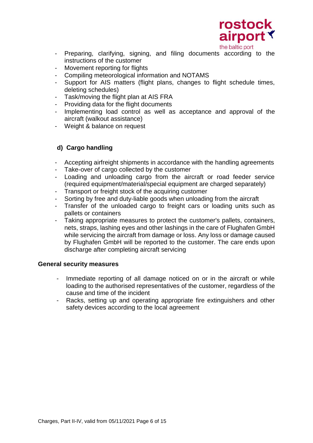

- Preparing, clarifying, signing, and filing documents according to the instructions of the customer
- Movement reporting for flights
- Compiling meteorological information and NOTAMS
- Support for AIS matters (flight plans, changes to flight schedule times, deleting schedules)
- Task/moving the flight plan at AIS FRA
- Providing data for the flight documents
- Implementing load control as well as acceptance and approval of the aircraft (walkout assistance)
- Weight & balance on request

# **d) Cargo handling**

- Accepting airfreight shipments in accordance with the handling agreements
- Take-over of cargo collected by the customer
- Loading and unloading cargo from the aircraft or road feeder service (required equipment/material/special equipment are charged separately)
- Transport or freight stock of the acquiring customer
- Sorting by free and duty-liable goods when unloading from the aircraft
- Transfer of the unloaded cargo to freight cars or loading units such as pallets or containers
- Taking appropriate measures to protect the customer's pallets, containers, nets, straps, lashing eyes and other lashings in the care of Flughafen GmbH while servicing the aircraft from damage or loss. Any loss or damage caused by Flughafen GmbH will be reported to the customer. The care ends upon discharge after completing aircraft servicing

#### **General security measures**

- Immediate reporting of all damage noticed on or in the aircraft or while loading to the authorised representatives of the customer, regardless of the cause and time of the incident
- Racks, setting up and operating appropriate fire extinguishers and other safety devices according to the local agreement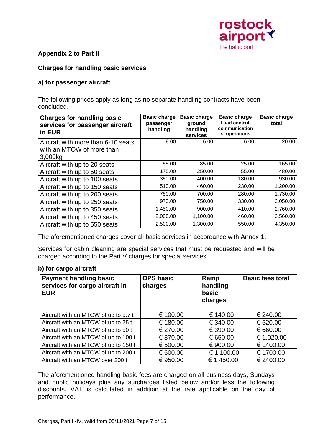

### **Appendix 2 to Part II**

#### **Charges for handling basic services**

#### **a) for passenger aircraft**

The following prices apply as long as no separate handling contracts have been concluded.

| <b>Charges for handling basic</b><br>services for passenger aircraft<br>in EUR | <b>Basic charge</b><br>passenger<br>handling | <b>Basic charge</b><br>ground<br>handling<br>services | <b>Basic charge</b><br>Load control,<br>communication<br>s, operations | <b>Basic charge</b><br>total |
|--------------------------------------------------------------------------------|----------------------------------------------|-------------------------------------------------------|------------------------------------------------------------------------|------------------------------|
| Aircraft with more than 6-10 seats                                             | 8.00                                         | 6.00                                                  | 6.00                                                                   | 20.00                        |
| with an MTOW of more than<br>3,000kg                                           |                                              |                                                       |                                                                        |                              |
| Aircraft with up to 20 seats                                                   | 55.00                                        | 85.00                                                 | 25.00                                                                  | 165.00                       |
| Aircraft with up to 50 seats                                                   | 175.00                                       | 250.00                                                | 55.00                                                                  | 480.00                       |
| Aircraft with up to 100 seats                                                  | 350.00                                       | 400.00                                                | 180.00                                                                 | 930.00                       |
| Aircraft with up to 150 seats                                                  | 510.00                                       | 460.00                                                | 230.00                                                                 | 1,200.00                     |
| Aircraft with up to 200 seats                                                  | 750.00                                       | 700.00                                                | 280.00                                                                 | 1,730.00                     |
| Aircraft with up to 250 seats                                                  | 970.00                                       | 750.00                                                | 330.00                                                                 | 2,050.00                     |
| Aircraft with up to 350 seats                                                  | 1,450.00                                     | 900.00                                                | 410.00                                                                 | 2,760.00                     |
| Aircraft with up to 450 seats                                                  | 2,000.00                                     | 1,100.00                                              | 460.00                                                                 | 3,560.00                     |
| Aircraft with up to 550 seats                                                  | 2,500.00                                     | 1,300.00                                              | 550.00                                                                 | 4,350.00                     |

The aforementioned charges cover all basic services in accordance with Annex 1.

Services for cabin cleaning are special services that must be requested and will be charged according to the Part V charges for special services.

#### **b) for cargo aircraft**

| <b>Payment handling basic</b><br>services for cargo aircraft in<br><b>EUR</b> | <b>OPS basic</b><br>charges | Ramp<br>handling<br>basic<br>charges | <b>Basic fees total</b> |
|-------------------------------------------------------------------------------|-----------------------------|--------------------------------------|-------------------------|
| Aircraft with an MTOW of up to 5.7 t                                          | € 100.00                    | € 140.00                             | € 240.00                |
| Aircraft with an MTOW of up to 25 t                                           | € 180.00                    | € 340.00                             | € 520.00                |
| Aircraft with an MTOW of up to 50 t                                           | € 270.00                    | € 390.00                             | € 660.00                |
| Aircraft with an MTOW of up to 100 t                                          | € 370.00                    | € 650.00                             | € 1.020.00              |
| Aircraft with an MTOW of up to 150 t                                          | € 500,00                    | € 900.00                             | € 1400.00               |
| Aircraft with an MTOW of up to 200 t                                          | € 600.00                    | € 1.100.00                           | € 1700.00               |
| Aircraft with an MTOW over 200 t                                              | € 950.00                    | € 1.450.00                           | € 2400.00               |

The aforementioned handling basic fees are charged on all business days, Sundays and public holidays plus any surcharges listed below and/or less the following discounts. VAT is calculated in addition at the rate applicable on the day of performance.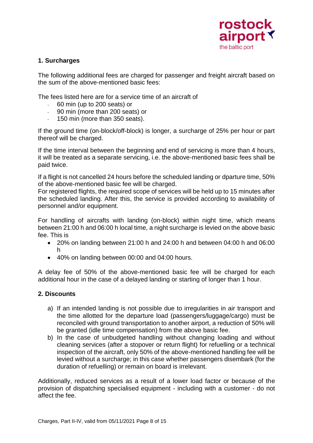

#### **1. Surcharges**

The following additional fees are charged for passenger and freight aircraft based on the sum of the above-mentioned basic fees:

The fees listed here are for a service time of an aircraft of

- 60 min (up to 200 seats) or
- 90 min (more than 200 seats) or
- 150 min (more than 350 seats).

If the ground time (on-block/off-block) is longer, a surcharge of 25% per hour or part thereof will be charged.

If the time interval between the beginning and end of servicing is more than 4 hours, it will be treated as a separate servicing, i.e. the above-mentioned basic fees shall be paid twice.

If a flight is not cancelled 24 hours before the scheduled landing or dparture time, 50% of the above-mentioned basic fee will be charged.

For registered flights, the required scope of services will be held up to 15 minutes after the scheduled landing. After this, the service is provided according to availability of personnel and/or equipment.

For handling of aircrafts with landing (on-block) within night time, which means between 21:00 h and 06:00 h local time, a night surcharge is levied on the above basic fee. This is

- 20% on landing between 21:00 h and 24:00 h and between 04:00 h and 06:00 h
- 40% on landing between 00:00 and 04:00 hours.

A delay fee of 50% of the above-mentioned basic fee will be charged for each additional hour in the case of a delayed landing or starting of longer than 1 hour.

# **2. Discounts**

- a) If an intended landing is not possible due to irregularities in air transport and the time allotted for the departure load (passengers/luggage/cargo) must be reconciled with ground transportation to another airport, a reduction of 50% will be granted (idle time compensation) from the above basic fee.
- b) In the case of unbudgeted handling without changing loading and without cleaning services (after a stopover or return flight) for refuelling or a technical inspection of the aircraft, only 50% of the above-mentioned handling fee will be levied without a surcharge; in this case whether passengers disembark (for the duration of refuelling) or remain on board is irrelevant.

Additionally, reduced services as a result of a lower load factor or because of the provision of dispatching specialised equipment - including with a customer - do not affect the fee.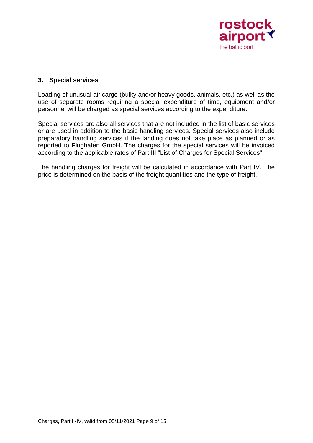

#### **3. Special services**

Loading of unusual air cargo (bulky and/or heavy goods, animals, etc.) as well as the use of separate rooms requiring a special expenditure of time, equipment and/or personnel will be charged as special services according to the expenditure.

Special services are also all services that are not included in the list of basic services or are used in addition to the basic handling services. Special services also include preparatory handling services if the landing does not take place as planned or as reported to Flughafen GmbH. The charges for the special services will be invoiced according to the applicable rates of Part III "List of Charges for Special Services".

The handling charges for freight will be calculated in accordance with Part IV. The price is determined on the basis of the freight quantities and the type of freight.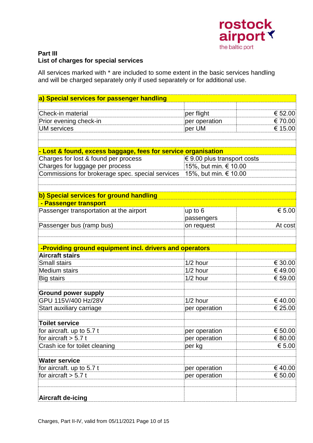

#### **Part III List of charges for special services**

All services marked with \* are included to some extent in the basic services handling and will be charged separately only if used separately or for additional use.

| a) Special services for passenger handling                             |                                 |         |
|------------------------------------------------------------------------|---------------------------------|---------|
|                                                                        |                                 |         |
| Check-in material                                                      | per flight                      | € 52.00 |
| Prior evening check-in                                                 | per operation                   | € 70.00 |
| <b>UM</b> services                                                     | per UM                          | € 15.00 |
|                                                                        |                                 |         |
|                                                                        |                                 |         |
| - Lost & found, excess baggage, fees for service organisation          |                                 |         |
| Charges for lost & found per process                                   | $\in$ 9.00 plus transport costs |         |
| Charges for luggage per process                                        | 15%, but min. € 10.00           |         |
| Commissions for brokerage spec. special services 15%, but min. € 10.00 |                                 |         |
|                                                                        |                                 |         |
|                                                                        |                                 |         |
| b) Special services for ground handling                                |                                 |         |
| - Passenger transport                                                  |                                 |         |
| Passenger transportation at the airport                                | up to 6                         | € 5.00  |
|                                                                        | passengers                      |         |
| Passenger bus (ramp bus)                                               | on request                      | At cost |
|                                                                        |                                 |         |
| -Providing ground equipment incl. drivers and operators                |                                 |         |
| <b>Aircraft stairs</b>                                                 |                                 |         |
| <b>Small stairs</b>                                                    | $1/2$ hour                      | € 30.00 |
| <b>Medium stairs</b>                                                   | $1/2$ hour                      | €49.00  |
| Big stairs                                                             | $1/2$ hour                      | € 59.00 |
|                                                                        |                                 |         |
| <b>Ground power supply</b>                                             |                                 |         |
| GPU 115V/400 Hz/28V                                                    | $1/2$ hour                      | €40.00  |
| Start auxiliary carriage                                               | per operation                   | € 25.00 |
|                                                                        |                                 |         |
| <b>Toilet service</b>                                                  |                                 |         |
| for aircraft. up to 5.7 t                                              | per operation                   | € 50.00 |
| for aircraft $> 5.7$ t                                                 | per operation                   | € 80.00 |
| Crash ice for toilet cleaning                                          | per kg                          | € 5.00  |
|                                                                        |                                 |         |
| <b>Water service</b>                                                   |                                 |         |
| for aircraft. up to 5.7 t                                              | per operation                   | € 40.00 |
| for aircraft $> 5.7$ t                                                 | per operation                   | € 50.00 |
|                                                                        |                                 |         |
|                                                                        |                                 |         |
| <b>Aircraft de-icing</b>                                               |                                 |         |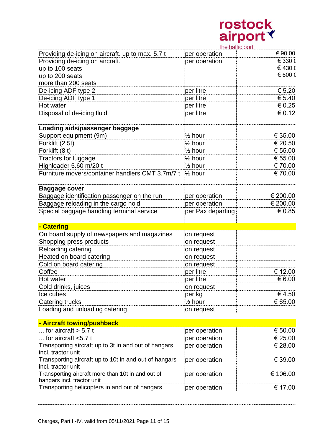

|                                                       | the baltic port    |          |
|-------------------------------------------------------|--------------------|----------|
| Providing de-icing on aircraft. up to max. 5.7 t      | per operation      | € 90.00  |
| Providing de-icing on aircraft.                       | per operation      | € 330.0  |
| up to 100 seats                                       |                    | € 430.0  |
| up to 200 seats                                       |                    | € 600.0  |
| more than 200 seats                                   |                    |          |
| De-icing ADF type 2                                   | per litre          | € 5.20   |
| De-icing ADF type 1                                   | per litre          | € 5.40   |
| Hot water                                             | per litre          | € 0.25   |
| Disposal of de-icing fluid                            | per litre          | € 0.12   |
|                                                       |                    |          |
| Loading aids/passenger baggage                        |                    |          |
| Support equipment (9m)                                | $\frac{1}{2}$ hour | € 35.00  |
| Forklift (2.5t)                                       | $\frac{1}{2}$ hour | € 20.50  |
| Forklift (8 t)                                        | $\frac{1}{2}$ hour | € 55.00  |
| Tractors for luggage                                  | $\frac{1}{2}$ hour | € 55.00  |
| Highloader 5.60 m/20 t                                | $\frac{1}{2}$ hour | €70.00   |
| Furniture movers/container handlers CMT 3.7m/7 t      | $\frac{1}{2}$ hour | €70.00   |
|                                                       |                    |          |
| <b>Baggage cover</b>                                  |                    |          |
| Baggage identification passenger on the run           | per operation      | € 200.00 |
| Baggage reloading in the cargo hold                   | per operation      | € 200.00 |
| Special baggage handling terminal service             | per Pax departing  | € 0.85   |
|                                                       |                    |          |
| - Catering                                            |                    |          |
| On board supply of newspapers and magazines           | on request         |          |
| Shopping press products                               | on request         |          |
| Reloading catering                                    | on request         |          |
| Heated on board catering                              | on request         |          |
| Cold on board catering                                | on request         |          |
| Coffee                                                | per litre          | € 12.00  |
|                                                       |                    |          |
| Hot water                                             | per litre          | € 6.00   |
| Cold drinks, juices                                   | on request         |          |
| Ice cubes                                             | per kg             | €4.50    |
| Catering trucks                                       | $\frac{1}{2}$ hour | € 65.00  |
|                                                       |                    |          |
| Loading and unloading catering                        | on request         |          |
|                                                       |                    |          |
| - Aircraft towing/pushback                            |                    |          |
| for aircraft $> 5.7$ t                                | per operation      | € 50.00  |
| for aircraft $< 5.7$ t                                | per operation      |          |
| Transporting aircraft up to 3t in and out of hangars  | per operation      | € 28.00  |
| incl. tractor unit                                    |                    |          |
| Transporting aircraft up to 10t in and out of hangars | per operation      | € 39.00  |
| incl. tractor unit                                    |                    |          |
| Transporting aircraft more than 10t in and out of     | per operation      | € 106.00 |
| hangars incl. tractor unit                            |                    | € 25.00  |
| Transporting helicopters in and out of hangars        | per operation      | € 17.00  |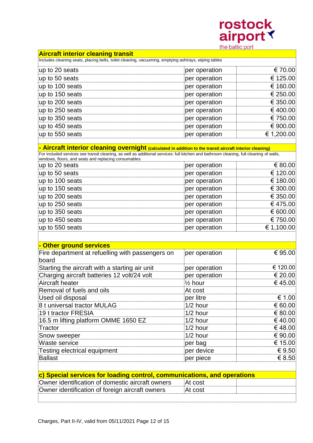

|                                                                                                                                                   | the pairic port    |            |
|---------------------------------------------------------------------------------------------------------------------------------------------------|--------------------|------------|
| <b>Aircraft interior cleaning transit</b><br>Includes cleaning seats, placing belts, toilet cleaning, vacuuming, emptying ashtrays, wiping tables |                    |            |
| up to 20 seats                                                                                                                                    | per operation      | € 70.00    |
| up to 50 seats                                                                                                                                    |                    | € 125.00   |
| up to 100 seats                                                                                                                                   | per operation      | € 160.00   |
|                                                                                                                                                   | per operation      | € 250.00   |
| up to 150 seats                                                                                                                                   | per operation      |            |
| up to 200 seats                                                                                                                                   | per operation      | € 350.00   |
| up to 250 seats                                                                                                                                   | per operation      | €400.00    |
| up to 350 seats                                                                                                                                   | per operation      | € 750.00   |
| up to 450 seats                                                                                                                                   | per operation      | € 900.00   |
| up to 550 seats                                                                                                                                   | per operation      | € 1,200.00 |
| - Aircraft interior cleaning overnight (calculated in addition to the transit aircraft interior cleaning)                                         |                    |            |
| For included services see transit cleaning, as well as additional services: full kitchen and bathroom cleaning, full cleaning of walls,           |                    |            |
| windows, floors, and seats and replacing consumables<br>up to 20 seats                                                                            | per operation      | € 80.00    |
| up to 50 seats                                                                                                                                    | per operation      | € 120.00   |
| up to 100 seats                                                                                                                                   | per operation      | € 180.00   |
| up to 150 seats                                                                                                                                   | per operation      | € 300.00   |
| up to 200 seats                                                                                                                                   | per operation      | € 350.00   |
| up to 250 seats                                                                                                                                   | per operation      | €475.00    |
| up to 350 seats                                                                                                                                   | per operation      | € 600.00   |
| up to 450 seats                                                                                                                                   | per operation      | € 750.00   |
| up to 550 seats                                                                                                                                   | per operation      | € 1,100.00 |
|                                                                                                                                                   |                    |            |
| - Other ground services                                                                                                                           |                    |            |
| Fire department at refuelling with passengers on                                                                                                  | per operation      | € 95.00    |
| board                                                                                                                                             |                    |            |
| Starting the aircraft with a starting air unit                                                                                                    | per operation      | € 120.00   |
| Charging aircraft batteries 12 volt/24 volt                                                                                                       | per operation      | € 20.00    |
| Aircraft heater                                                                                                                                   | $\frac{1}{2}$ hour | €45.00     |
| Removal of fuels and oils                                                                                                                         | At cost            |            |
| Used oil disposal                                                                                                                                 | per litre          | € 1.00     |
| 8 t universal tractor MULAG                                                                                                                       | $1/2$ hour         | € 60.00    |
| 19 t tractor FRESIA                                                                                                                               | $1/2$ hour         | € 80.00    |
| 16.5 m lifting platform OMME 1650 EZ                                                                                                              | 1/2 hour           | €40.00     |
| Tractor                                                                                                                                           | $1/2$ hour         | €48.00     |
| Snow sweeper                                                                                                                                      | 1/2 hour           | € 90.00    |
| Waste service                                                                                                                                     | per bag            | € 15.00    |
| Testing electrical equipment                                                                                                                      | per device         | € 9.50     |
| <b>Ballast</b>                                                                                                                                    | per piece          | € 8.50     |
|                                                                                                                                                   |                    |            |
| c) Special services for loading control, communications, and operations                                                                           |                    |            |
| Owner identification of domestic aircraft owners                                                                                                  | At cost            |            |
| Owner identification of foreign aircraft owners                                                                                                   | At cost            |            |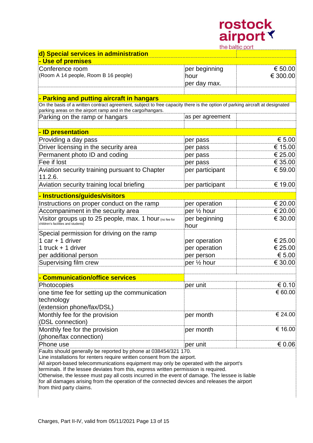

| trie paille port                                                                                                                                                                            |                  |          |
|---------------------------------------------------------------------------------------------------------------------------------------------------------------------------------------------|------------------|----------|
| d) Special services in administration                                                                                                                                                       |                  |          |
| - Use of premises                                                                                                                                                                           |                  |          |
| Conference room                                                                                                                                                                             | per beginning    | € 50.00  |
| (Room A 14 people, Room B 16 people)                                                                                                                                                        | hour             | € 300.00 |
|                                                                                                                                                                                             | per day max.     |          |
|                                                                                                                                                                                             |                  |          |
| - Parking and putting aircraft in hangars                                                                                                                                                   |                  |          |
| On the basis of a written contract agreement, subject to free capacity there is the option of parking aircraft at designated<br>parking areas on the airport ramp and in the cargo/hangars. |                  |          |
| Parking on the ramp or hangars                                                                                                                                                              | as per agreement |          |
|                                                                                                                                                                                             |                  |          |
| <u>- ID presentation</u>                                                                                                                                                                    |                  |          |
| Providing a day pass                                                                                                                                                                        | per pass         | € 5.00   |
| Driver licensing in the security area                                                                                                                                                       | per pass         | € 15.00  |
| Permanent photo ID and coding                                                                                                                                                               | per pass         | € 25.00  |
| Fee if lost                                                                                                                                                                                 | per pass         | € 35.00  |
| Aviation security training pursuant to Chapter                                                                                                                                              | per participant  | € 59.00  |
| 11.2.6.                                                                                                                                                                                     |                  |          |
| Aviation security training local briefing                                                                                                                                                   | per participant  | € 19.00  |
| - Instructions/guides/visitors                                                                                                                                                              |                  |          |
| Instructions on proper conduct on the ramp                                                                                                                                                  | per operation    | € 20.00  |
| Accompaniment in the security area                                                                                                                                                          | per 1/2 hour     | € 20.00  |
| Visitor groups up to 25 people, max. 1 hour (no fee for<br>children's facilities and students)                                                                                              | per beginning    | € 30.00  |
|                                                                                                                                                                                             | hour             |          |
| Special permission for driving on the ramp                                                                                                                                                  |                  |          |
| 1 car $+$ 1 driver                                                                                                                                                                          | per operation    | € 25.00  |
| 1 truck $+$ 1 driver                                                                                                                                                                        | per operation    | € 25.00  |
| per additional person                                                                                                                                                                       | per person       | € 5.00   |
| Supervising film crew                                                                                                                                                                       | per 1/2 hour     | € 30.00  |
|                                                                                                                                                                                             |                  |          |
| - Communication/office services                                                                                                                                                             |                  |          |
| Photocopies                                                                                                                                                                                 | per unit         | € 0.10   |
| one time fee for setting up the communication                                                                                                                                               |                  | € 60.00  |
| technology                                                                                                                                                                                  |                  |          |
| (extension phone/fax/DSL)                                                                                                                                                                   |                  |          |
| Monthly fee for the provision                                                                                                                                                               | per month        | € 24.00  |
| (DSL connection)                                                                                                                                                                            |                  |          |
| Monthly fee for the provision                                                                                                                                                               | per month        | € 16.00  |
| (phone/fax connection)                                                                                                                                                                      |                  |          |
| Phone use<br>the obould generally be reported by phone                                                                                                                                      | per unit         | € 0.06   |
|                                                                                                                                                                                             |                  |          |

Faults should generally be reported by phone at 038454/321 170.

Line installations for renters require written consent from the airport. All airport-based telecommunications equipment may only be operated with the airport's

terminals. If the lessee deviates from this, express written permission is required.

Otherwise, the lessee must pay all costs incurred in the event of damage. The lessee is liable for all damages arising from the operation of the connected devices and releases the airport

from third party claims.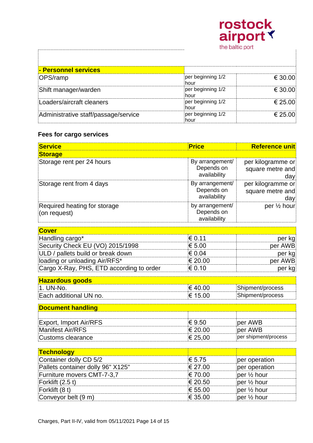|                                      | airport \<br>the baltic port |         |
|--------------------------------------|------------------------------|---------|
| - Personnel services                 |                              |         |
| OPS/ramp                             | per beginning 1/2<br>hour    | € 30.00 |
| Shift manager/warden                 | per beginning 1/2<br>hour    | € 30.00 |
| Loaders/aircraft cleaners            | per beginning 1/2<br>hour    | € 25.00 |
| Administrative staff/passage/service | per beginning 1/2<br>hour    | € 25.00 |

rostock

# **Fees for cargo services**

| <b>Service</b>                               | <b>Price</b>                                  | <b>Reference unit</b>                        |
|----------------------------------------------|-----------------------------------------------|----------------------------------------------|
| <b>Storage</b>                               |                                               |                                              |
| Storage rent per 24 hours                    | By arrangement/<br>Depends on<br>availability | per kilogramme or<br>square metre and<br>day |
| Storage rent from 4 days                     | By arrangement/<br>Depends on<br>availability | per kilogramme or<br>square metre and<br>day |
| Required heating for storage<br>(on request) | by arrangement/<br>Depends on<br>availability | per 1/2 hour                                 |
| <b>Cover</b>                                 |                                               |                                              |
| Handling cargo*                              | € 0.11                                        | per kg                                       |
| Security Check EU (VO) 2015/1998             | € 5.00                                        | per AWB                                      |
| ULD / pallets build or break down            | € 0.04                                        | per kg                                       |
| loading or unloading Air/RFS*                | € 20.00                                       | per AWB                                      |
| Cargo X-Ray, PHS, ETD according to order     | € 0.10                                        | per kg                                       |
| <b>Hazardous goods</b>                       |                                               |                                              |
| 1. UN-No.                                    | €40.00                                        | Shipment/process                             |
| Each additional UN no.                       | € 15.00                                       | Shipment/process                             |
| <b>Document handling</b>                     |                                               |                                              |
|                                              |                                               |                                              |
| <b>Export, Import Air/RFS</b>                | € 9.50                                        | per AWB                                      |
| <b>Manifest Air/RFS</b>                      | € 20.00                                       | per AWB                                      |
| <b>Customs clearance</b>                     | € 25,00                                       | per shipment/process                         |
| <b>Technology</b>                            |                                               |                                              |
| Container dolly CD 5/2                       | € 5.75                                        | per operation                                |
| Pallets container dolly 96" X125"            | € 27.00                                       | per operation                                |
| Furniture movers CMT-7-3,7                   | €70.00                                        | per 1/2 hour                                 |
| Forklift (2.5 t)                             | € 20.50                                       | per 1/2 hour                                 |
| Forklift (8 t)                               | € 55.00                                       | per 1/2 hour                                 |
| Conveyor belt (9 m)                          | € 35.00                                       | per 1/2 hour                                 |